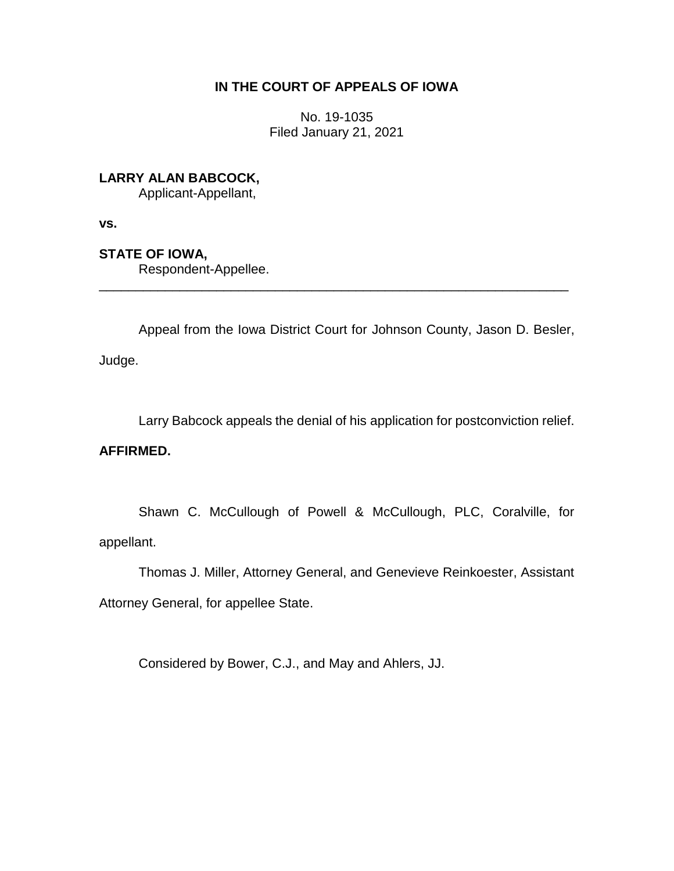## **IN THE COURT OF APPEALS OF IOWA**

No. 19-1035 Filed January 21, 2021

**LARRY ALAN BABCOCK,**

Applicant-Appellant,

**vs.**

**STATE OF IOWA,**

Respondent-Appellee.

Appeal from the Iowa District Court for Johnson County, Jason D. Besler,

\_\_\_\_\_\_\_\_\_\_\_\_\_\_\_\_\_\_\_\_\_\_\_\_\_\_\_\_\_\_\_\_\_\_\_\_\_\_\_\_\_\_\_\_\_\_\_\_\_\_\_\_\_\_\_\_\_\_\_\_\_\_\_\_

Judge.

Larry Babcock appeals the denial of his application for postconviction relief.

## **AFFIRMED.**

Shawn C. McCullough of Powell & McCullough, PLC, Coralville, for appellant.

Thomas J. Miller, Attorney General, and Genevieve Reinkoester, Assistant

Attorney General, for appellee State.

Considered by Bower, C.J., and May and Ahlers, JJ.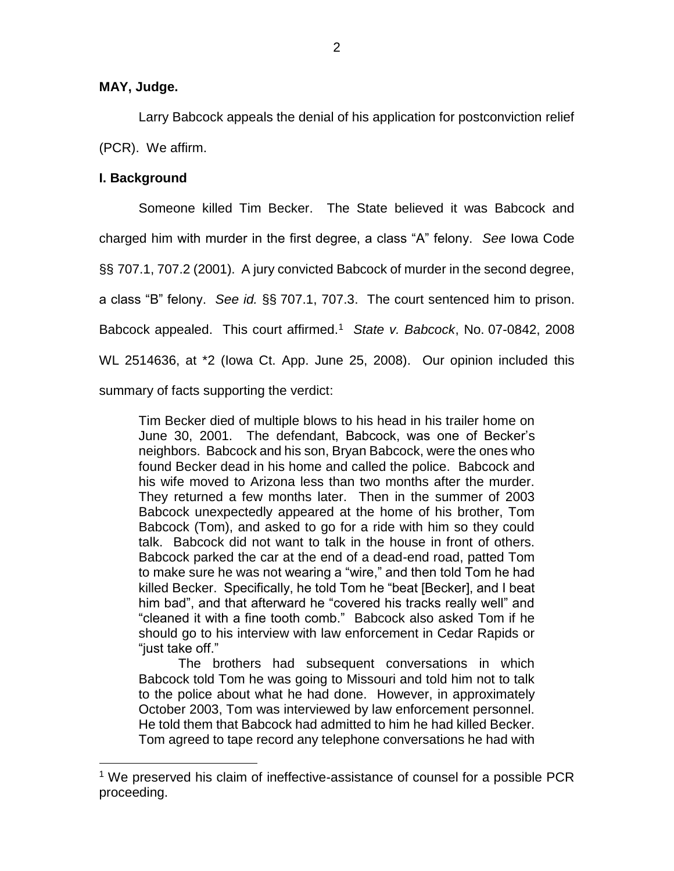#### **MAY, Judge.**

Larry Babcock appeals the denial of his application for postconviction relief (PCR). We affirm.

## **I. Background**

 $\overline{a}$ 

Someone killed Tim Becker. The State believed it was Babcock and charged him with murder in the first degree, a class "A" felony. *See* Iowa Code §§ 707.1, 707.2 (2001). A jury convicted Babcock of murder in the second degree, a class "B" felony. *See id.* §§ 707.1, 707.3. The court sentenced him to prison. Babcock appealed. This court affirmed.<sup>1</sup> *State v. Babcock*, No. 07-0842, 2008 WL 2514636, at \*2 (Iowa Ct. App. June 25, 2008). Our opinion included this summary of facts supporting the verdict:

Tim Becker died of multiple blows to his head in his trailer home on June 30, 2001. The defendant, Babcock, was one of Becker's neighbors. Babcock and his son, Bryan Babcock, were the ones who found Becker dead in his home and called the police. Babcock and his wife moved to Arizona less than two months after the murder. They returned a few months later. Then in the summer of 2003 Babcock unexpectedly appeared at the home of his brother, Tom Babcock (Tom), and asked to go for a ride with him so they could talk. Babcock did not want to talk in the house in front of others. Babcock parked the car at the end of a dead-end road, patted Tom to make sure he was not wearing a "wire," and then told Tom he had killed Becker. Specifically, he told Tom he "beat [Becker], and I beat him bad", and that afterward he "covered his tracks really well" and "cleaned it with a fine tooth comb." Babcock also asked Tom if he should go to his interview with law enforcement in Cedar Rapids or "just take off."

The brothers had subsequent conversations in which Babcock told Tom he was going to Missouri and told him not to talk to the police about what he had done. However, in approximately October 2003, Tom was interviewed by law enforcement personnel. He told them that Babcock had admitted to him he had killed Becker. Tom agreed to tape record any telephone conversations he had with

<sup>&</sup>lt;sup>1</sup> We preserved his claim of ineffective-assistance of counsel for a possible PCR proceeding.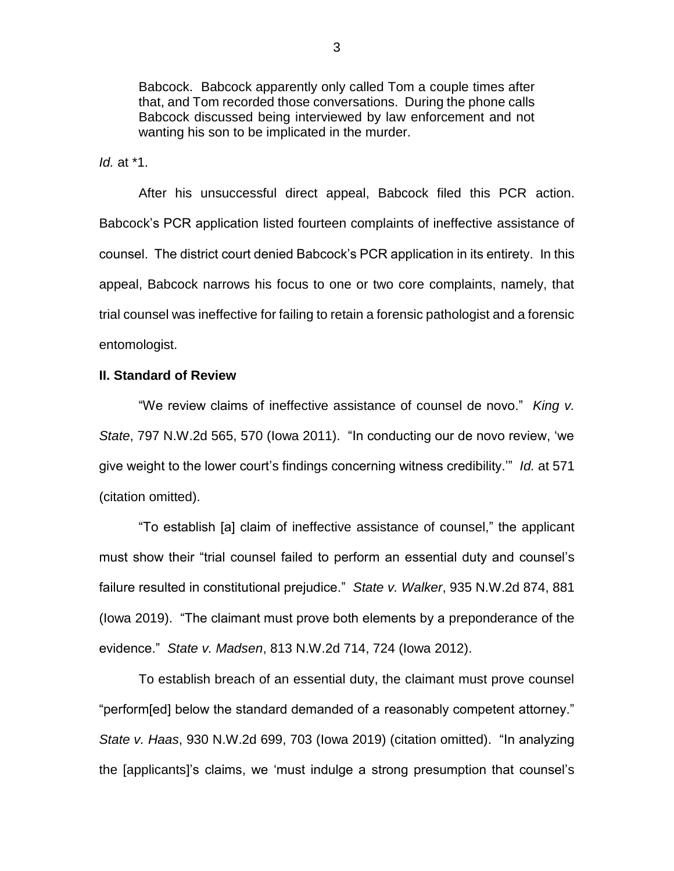Babcock. Babcock apparently only called Tom a couple times after that, and Tom recorded those conversations. During the phone calls Babcock discussed being interviewed by law enforcement and not wanting his son to be implicated in the murder.

*Id.* at \*1.

After his unsuccessful direct appeal, Babcock filed this PCR action. Babcock's PCR application listed fourteen complaints of ineffective assistance of counsel. The district court denied Babcock's PCR application in its entirety. In this appeal, Babcock narrows his focus to one or two core complaints, namely, that trial counsel was ineffective for failing to retain a forensic pathologist and a forensic entomologist.

### **II. Standard of Review**

"We review claims of ineffective assistance of counsel de novo." *King v. State*, 797 N.W.2d 565, 570 (Iowa 2011). "In conducting our de novo review, 'we give weight to the lower court's findings concerning witness credibility.'" *Id.* at 571 (citation omitted).

"To establish [a] claim of ineffective assistance of counsel," the applicant must show their "trial counsel failed to perform an essential duty and counsel's failure resulted in constitutional prejudice." *State v. Walker*, 935 N.W.2d 874, 881 (Iowa 2019). "The claimant must prove both elements by a preponderance of the evidence." *State v. Madsen*, 813 N.W.2d 714, 724 (Iowa 2012).

To establish breach of an essential duty, the claimant must prove counsel "perform[ed] below the standard demanded of a reasonably competent attorney." *State v. Haas*, 930 N.W.2d 699, 703 (Iowa 2019) (citation omitted). "In analyzing the [applicants]'s claims, we 'must indulge a strong presumption that counsel's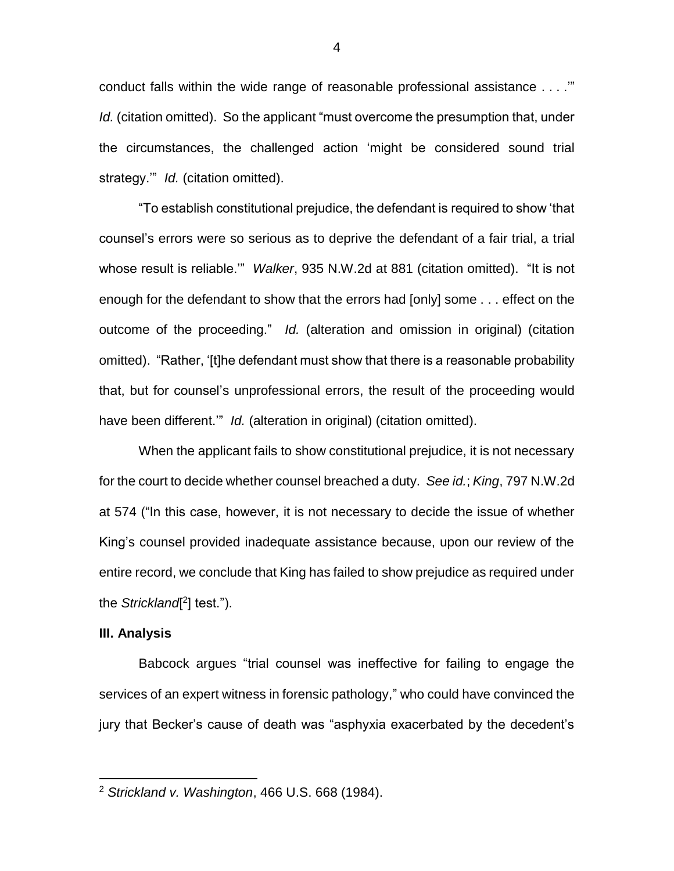conduct falls within the wide range of reasonable professional assistance . . . .'" *Id.* (citation omitted). So the applicant "must overcome the presumption that, under the circumstances, the challenged action 'might be considered sound trial strategy." *Id.* (citation omitted).

"To establish constitutional prejudice, the defendant is required to show 'that counsel's errors were so serious as to deprive the defendant of a fair trial, a trial whose result is reliable.'" *Walker*, 935 N.W.2d at 881 (citation omitted). "It is not enough for the defendant to show that the errors had [only] some . . . effect on the outcome of the proceeding." *Id.* (alteration and omission in original) (citation omitted). "Rather, '[t]he defendant must show that there is a reasonable probability that, but for counsel's unprofessional errors, the result of the proceeding would have been different.'" *Id.* (alteration in original) (citation omitted).

When the applicant fails to show constitutional prejudice, it is not necessary for the court to decide whether counsel breached a duty. *See id.*; *King*, 797 N.W.2d at 574 ("In this case, however, it is not necessary to decide the issue of whether King's counsel provided inadequate assistance because, upon our review of the entire record, we conclude that King has failed to show prejudice as required under the *Strickland*<sup>[2</sup>] test.").

#### **III. Analysis**

 $\overline{a}$ 

Babcock argues "trial counsel was ineffective for failing to engage the services of an expert witness in forensic pathology," who could have convinced the jury that Becker's cause of death was "asphyxia exacerbated by the decedent's

<sup>2</sup> *Strickland v. Washington*, 466 U.S. 668 (1984).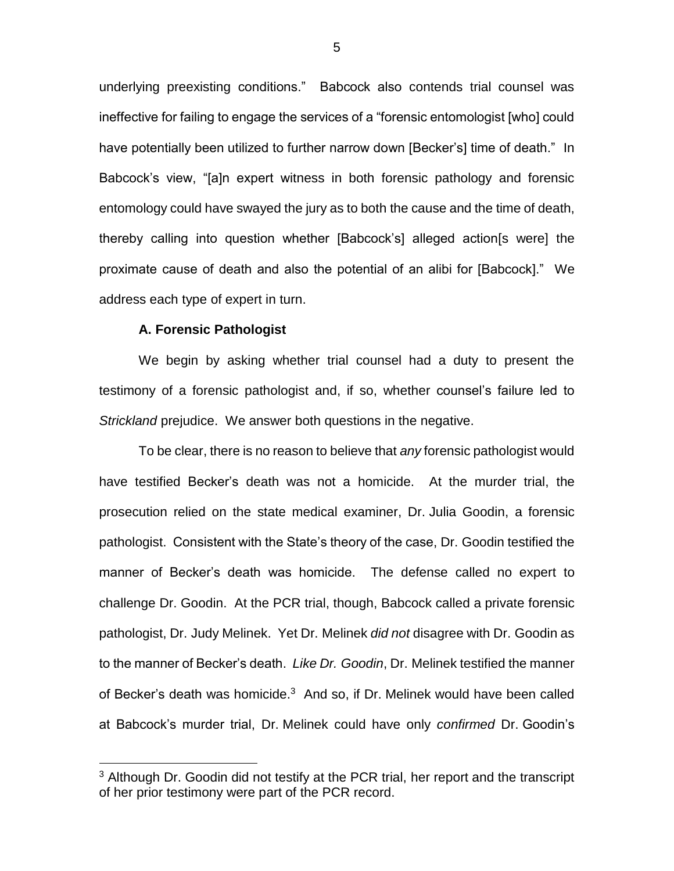underlying preexisting conditions." Babcock also contends trial counsel was ineffective for failing to engage the services of a "forensic entomologist [who] could have potentially been utilized to further narrow down [Becker's] time of death." In Babcock's view, "[a]n expert witness in both forensic pathology and forensic entomology could have swayed the jury as to both the cause and the time of death, thereby calling into question whether [Babcock's] alleged action[s were] the proximate cause of death and also the potential of an alibi for [Babcock]." We address each type of expert in turn.

#### **A. Forensic Pathologist**

 $\overline{a}$ 

We begin by asking whether trial counsel had a duty to present the testimony of a forensic pathologist and, if so, whether counsel's failure led to *Strickland* prejudice. We answer both questions in the negative.

To be clear, there is no reason to believe that *any* forensic pathologist would have testified Becker's death was not a homicide. At the murder trial, the prosecution relied on the state medical examiner, Dr. Julia Goodin, a forensic pathologist. Consistent with the State's theory of the case, Dr. Goodin testified the manner of Becker's death was homicide. The defense called no expert to challenge Dr. Goodin. At the PCR trial, though, Babcock called a private forensic pathologist, Dr. Judy Melinek. Yet Dr. Melinek *did not* disagree with Dr. Goodin as to the manner of Becker's death. *Like Dr. Goodin*, Dr. Melinek testified the manner of Becker's death was homicide.<sup>3</sup> And so, if Dr. Melinek would have been called at Babcock's murder trial, Dr. Melinek could have only *confirmed* Dr. Goodin's

<sup>&</sup>lt;sup>3</sup> Although Dr. Goodin did not testify at the PCR trial, her report and the transcript of her prior testimony were part of the PCR record.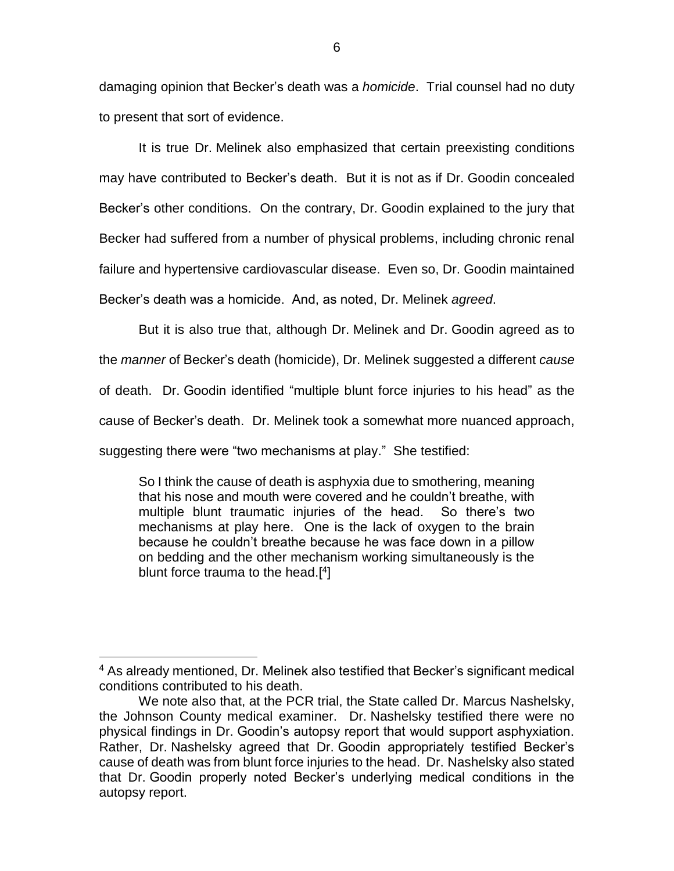damaging opinion that Becker's death was a *homicide*. Trial counsel had no duty to present that sort of evidence.

It is true Dr. Melinek also emphasized that certain preexisting conditions may have contributed to Becker's death. But it is not as if Dr. Goodin concealed Becker's other conditions. On the contrary, Dr. Goodin explained to the jury that Becker had suffered from a number of physical problems, including chronic renal failure and hypertensive cardiovascular disease. Even so, Dr. Goodin maintained Becker's death was a homicide. And, as noted, Dr. Melinek *agreed*.

But it is also true that, although Dr. Melinek and Dr. Goodin agreed as to the *manner* of Becker's death (homicide), Dr. Melinek suggested a different *cause* of death. Dr. Goodin identified "multiple blunt force injuries to his head" as the cause of Becker's death. Dr. Melinek took a somewhat more nuanced approach, suggesting there were "two mechanisms at play." She testified:

So I think the cause of death is asphyxia due to smothering, meaning that his nose and mouth were covered and he couldn't breathe, with multiple blunt traumatic injuries of the head. So there's two mechanisms at play here. One is the lack of oxygen to the brain because he couldn't breathe because he was face down in a pillow on bedding and the other mechanism working simultaneously is the blunt force trauma to the head.<sup>[4]</sup>

 $\overline{a}$ 

<sup>&</sup>lt;sup>4</sup> As already mentioned, Dr. Melinek also testified that Becker's significant medical conditions contributed to his death.

We note also that, at the PCR trial, the State called Dr. Marcus Nashelsky, the Johnson County medical examiner. Dr. Nashelsky testified there were no physical findings in Dr. Goodin's autopsy report that would support asphyxiation. Rather, Dr. Nashelsky agreed that Dr. Goodin appropriately testified Becker's cause of death was from blunt force injuries to the head. Dr. Nashelsky also stated that Dr. Goodin properly noted Becker's underlying medical conditions in the autopsy report.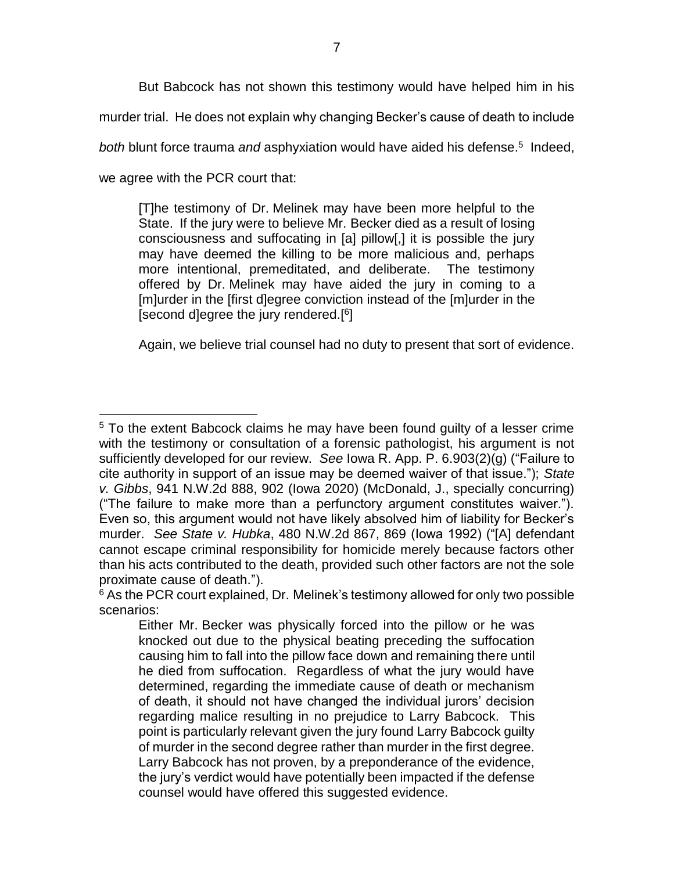But Babcock has not shown this testimony would have helped him in his murder trial. He does not explain why changing Becker's cause of death to include both blunt force trauma and asphyxiation would have aided his defense.<sup>5</sup> Indeed, we agree with the PCR court that:

[T]he testimony of Dr. Melinek may have been more helpful to the State. If the jury were to believe Mr. Becker died as a result of losing consciousness and suffocating in [a] pillow[,] it is possible the jury may have deemed the killing to be more malicious and, perhaps more intentional, premeditated, and deliberate. The testimony offered by Dr. Melinek may have aided the jury in coming to a [m]urder in the [first d]egree conviction instead of the [m]urder in the [second d]egree the jury rendered.<sup>[6</sup>]

Again, we believe trial counsel had no duty to present that sort of evidence.

 $\overline{a}$ 

<sup>&</sup>lt;sup>5</sup> To the extent Babcock claims he may have been found guilty of a lesser crime with the testimony or consultation of a forensic pathologist, his argument is not sufficiently developed for our review. *See* Iowa R. App. P. 6.903(2)(g) ("Failure to cite authority in support of an issue may be deemed waiver of that issue."); *State v. Gibbs*, 941 N.W.2d 888, 902 (Iowa 2020) (McDonald, J., specially concurring) ("The failure to make more than a perfunctory argument constitutes waiver."). Even so, this argument would not have likely absolved him of liability for Becker's murder. *See State v. Hubka*, 480 N.W.2d 867, 869 (Iowa 1992) ("[A] defendant cannot escape criminal responsibility for homicide merely because factors other than his acts contributed to the death, provided such other factors are not the sole proximate cause of death.").

<sup>&</sup>lt;sup>6</sup> As the PCR court explained, Dr. Melinek's testimony allowed for only two possible scenarios:

Either Mr. Becker was physically forced into the pillow or he was knocked out due to the physical beating preceding the suffocation causing him to fall into the pillow face down and remaining there until he died from suffocation. Regardless of what the jury would have determined, regarding the immediate cause of death or mechanism of death, it should not have changed the individual jurors' decision regarding malice resulting in no prejudice to Larry Babcock. This point is particularly relevant given the jury found Larry Babcock guilty of murder in the second degree rather than murder in the first degree. Larry Babcock has not proven, by a preponderance of the evidence, the jury's verdict would have potentially been impacted if the defense counsel would have offered this suggested evidence.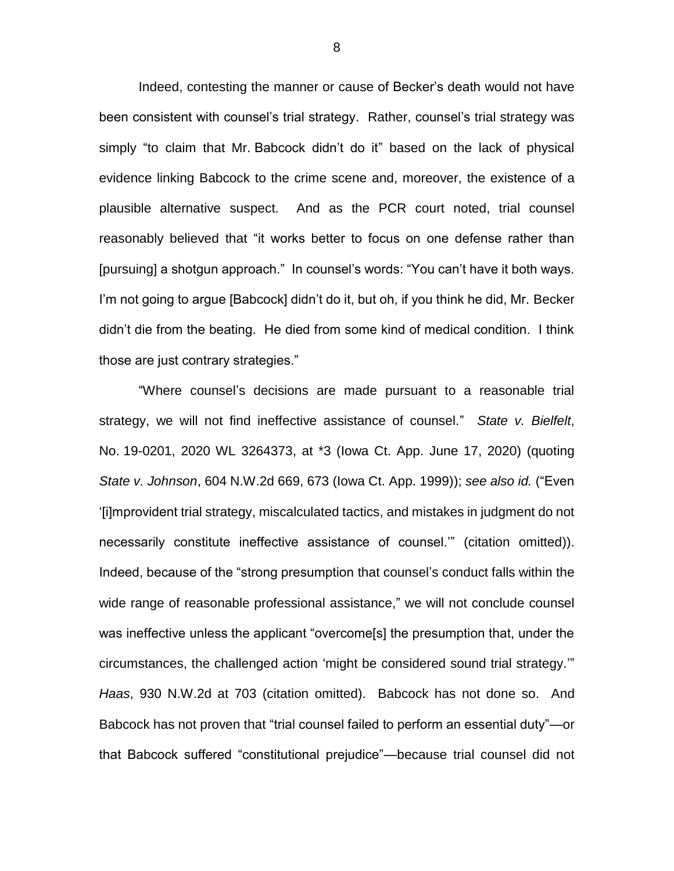Indeed, contesting the manner or cause of Becker's death would not have been consistent with counsel's trial strategy. Rather, counsel's trial strategy was simply "to claim that Mr. Babcock didn't do it" based on the lack of physical evidence linking Babcock to the crime scene and, moreover, the existence of a plausible alternative suspect. And as the PCR court noted, trial counsel reasonably believed that "it works better to focus on one defense rather than [pursuing] a shotgun approach." In counsel's words: "You can't have it both ways. I'm not going to argue [Babcock] didn't do it, but oh, if you think he did, Mr. Becker didn't die from the beating. He died from some kind of medical condition. I think those are just contrary strategies."

"Where counsel's decisions are made pursuant to a reasonable trial strategy, we will not find ineffective assistance of counsel." *State v. Bielfelt*, No. 19-0201, 2020 WL 3264373, at \*3 (Iowa Ct. App. June 17, 2020) (quoting *State v. Johnson*, 604 N.W.2d 669, 673 (Iowa Ct. App. 1999)); *see also id.* ("Even '[i]mprovident trial strategy, miscalculated tactics, and mistakes in judgment do not necessarily constitute ineffective assistance of counsel.'" (citation omitted)). Indeed, because of the "strong presumption that counsel's conduct falls within the wide range of reasonable professional assistance," we will not conclude counsel was ineffective unless the applicant "overcome[s] the presumption that, under the circumstances, the challenged action 'might be considered sound trial strategy.'" *Haas*, 930 N.W.2d at 703 (citation omitted). Babcock has not done so. And Babcock has not proven that "trial counsel failed to perform an essential duty"—or that Babcock suffered "constitutional prejudice"—because trial counsel did not

8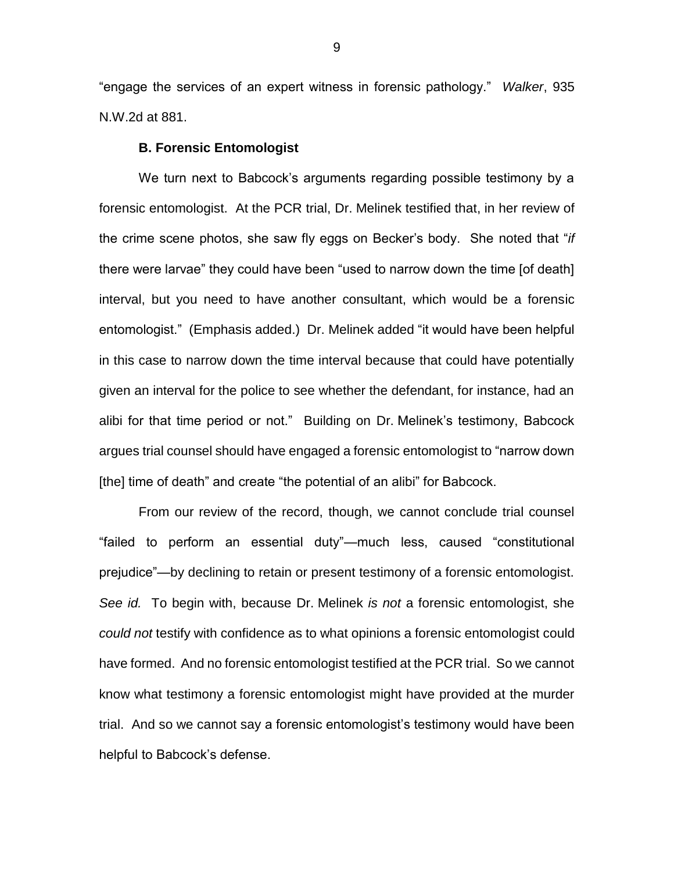"engage the services of an expert witness in forensic pathology." *Walker*, 935 N.W.2d at 881.

#### **B. Forensic Entomologist**

We turn next to Babcock's arguments regarding possible testimony by a forensic entomologist. At the PCR trial, Dr. Melinek testified that, in her review of the crime scene photos, she saw fly eggs on Becker's body. She noted that "*if*  there were larvae" they could have been "used to narrow down the time [of death] interval, but you need to have another consultant, which would be a forensic entomologist." (Emphasis added.) Dr. Melinek added "it would have been helpful in this case to narrow down the time interval because that could have potentially given an interval for the police to see whether the defendant, for instance, had an alibi for that time period or not." Building on Dr. Melinek's testimony, Babcock argues trial counsel should have engaged a forensic entomologist to "narrow down [the] time of death" and create "the potential of an alibi" for Babcock.

From our review of the record, though, we cannot conclude trial counsel "failed to perform an essential duty"—much less, caused "constitutional prejudice"—by declining to retain or present testimony of a forensic entomologist. *See id.* To begin with, because Dr. Melinek *is not* a forensic entomologist, she *could not* testify with confidence as to what opinions a forensic entomologist could have formed. And no forensic entomologist testified at the PCR trial. So we cannot know what testimony a forensic entomologist might have provided at the murder trial. And so we cannot say a forensic entomologist's testimony would have been helpful to Babcock's defense.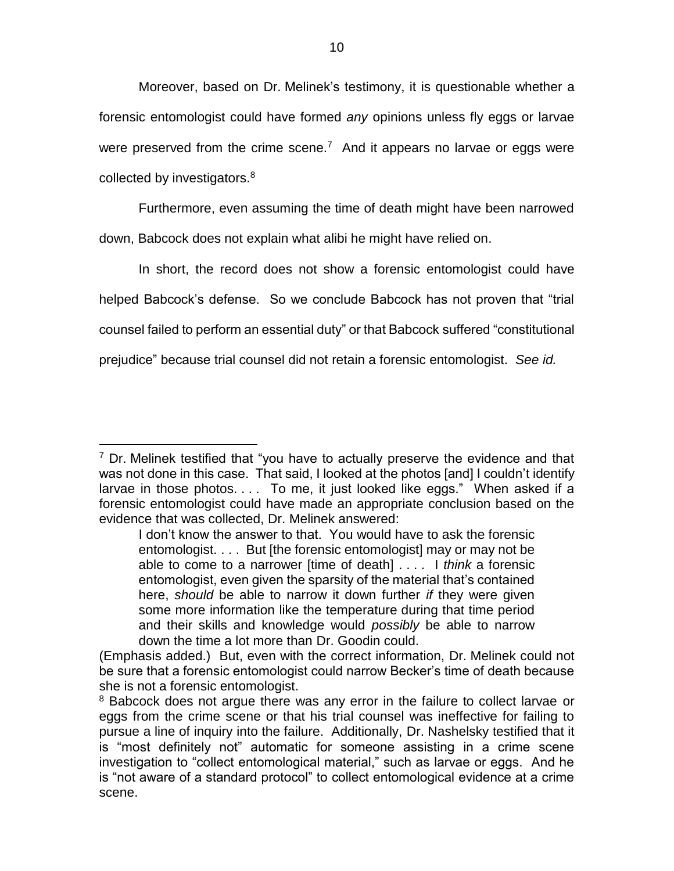Moreover, based on Dr. Melinek's testimony, it is questionable whether a forensic entomologist could have formed *any* opinions unless fly eggs or larvae were preserved from the crime scene.<sup>7</sup> And it appears no larvae or eggs were collected by investigators.<sup>8</sup>

Furthermore, even assuming the time of death might have been narrowed down, Babcock does not explain what alibi he might have relied on.

In short, the record does not show a forensic entomologist could have helped Babcock's defense. So we conclude Babcock has not proven that "trial counsel failed to perform an essential duty" or that Babcock suffered "constitutional prejudice" because trial counsel did not retain a forensic entomologist. *See id.*

 $\overline{a}$ 

 $7$  Dr. Melinek testified that "you have to actually preserve the evidence and that was not done in this case. That said, I looked at the photos [and] I couldn't identify larvae in those photos.... To me, it just looked like eggs." When asked if a forensic entomologist could have made an appropriate conclusion based on the evidence that was collected, Dr. Melinek answered:

I don't know the answer to that. You would have to ask the forensic entomologist. . . . But [the forensic entomologist] may or may not be able to come to a narrower [time of death] . . . . I *think* a forensic entomologist, even given the sparsity of the material that's contained here, *should* be able to narrow it down further *if* they were given some more information like the temperature during that time period and their skills and knowledge would *possibly* be able to narrow down the time a lot more than Dr. Goodin could.

<sup>(</sup>Emphasis added.) But, even with the correct information, Dr. Melinek could not be sure that a forensic entomologist could narrow Becker's time of death because she is not a forensic entomologist.

<sup>&</sup>lt;sup>8</sup> Babcock does not argue there was any error in the failure to collect larvae or eggs from the crime scene or that his trial counsel was ineffective for failing to pursue a line of inquiry into the failure. Additionally, Dr. Nashelsky testified that it is "most definitely not" automatic for someone assisting in a crime scene investigation to "collect entomological material," such as larvae or eggs. And he is "not aware of a standard protocol" to collect entomological evidence at a crime scene.